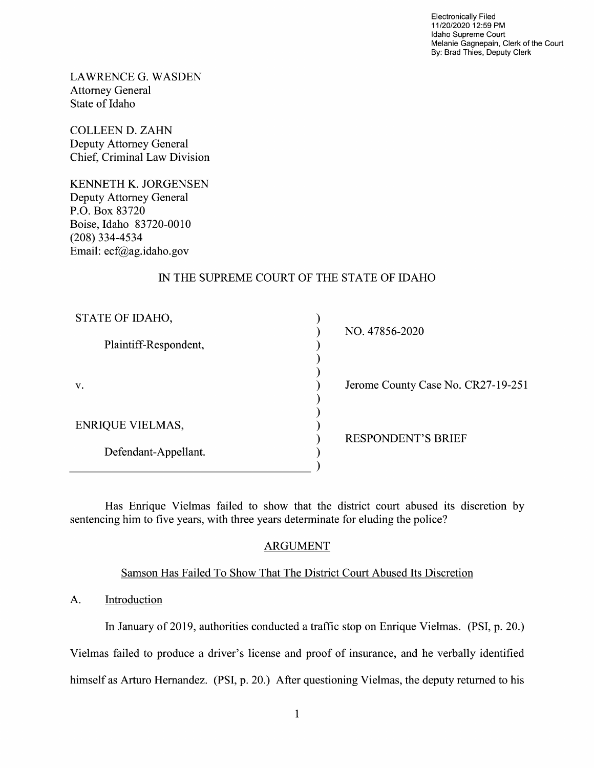Electronically Filed 11/20/2020 12:59 PM Idaho Supreme Court Melanie Gagnepain, Clerk of the Court By: Brad Thies, Deputy Clerk

LAWRENCE G.WASDEN Attorney General State of Idaho

COLLEEN D. ZAHN Deputy Attorney General Chief, Criminal Law Division

KENNETH K. JORGENSEN Deputy Attorney General P.O. BOX 83720 Boise, Idaho 83720-0010 (208) 334-4534 Email: ecf@ag.idah0.gov

### IN THE SUPREME COURT OF THE STATE OF IDAHO

| STATE OF IDAHO,         | NO. 47856-2020                     |
|-------------------------|------------------------------------|
| Plaintiff-Respondent,   |                                    |
|                         |                                    |
| V.                      | Jerome County Case No. CR27-19-251 |
|                         |                                    |
| <b>ENRIQUE VIELMAS,</b> | <b>RESPONDENT'S BRIEF</b>          |
| Defendant-Appellant.    |                                    |
|                         |                                    |

Has Enrique Vielmas failed to show that the district court abused its discretion by sentencing him to five years, with three years determinate for eluding the police?

## ARGUMENT

## Samson Has Failed To Show That The District Court Abused Its Discretion

### A. Introduction

In January of 2019, authorities conducted a traffic stop on Enrique Vielmas. (PSI, p. 20.) Vielmas failed to produce a driver's license and proof of insurance, and he verbally identified

himself as Arturo Hernandez. (PSI, p. 20.) After questioning Vielmas, the deputy returned to his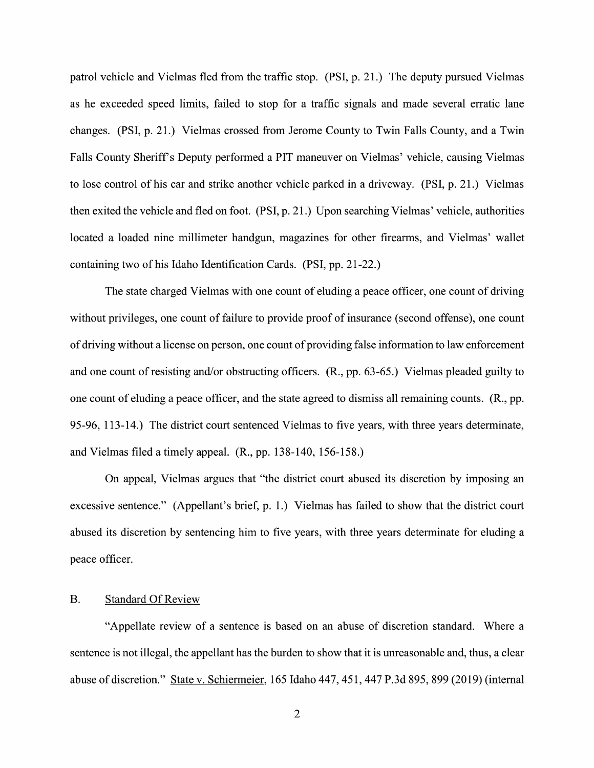patrol vehicle and Vielmas fled from the traffic stop. (PSI, p. 21.) The deputy pursued Vielmas as he exceeded speed limits, failed to stop for a traffic signals and made several erratic lane changes. (PSI, p. 21.) Vielmas crossed from Jerome County to Twin Falls County, and a Twin Falls County Sheriff's Deputy performed a PIT maneuver on Vielmas' vehicle, causing Vielmas to lose control of his car and strike another vehicle parked in a driveway. (PSI, p. 21.) Vielmas then exited the vehicle and fled 0n foot. (PSI, p. 21 .) Upon searching Vielmas' vehicle, authorities located a loaded nine millimeter handgun, magazines for other firearms, and Vielmas' wallet containing two 0f his Idaho Identification Cards. (PSI, pp. 21-22.)

The state charged Vielmas with one count of eluding a peace officer, one count of driving without privileges, one count of failure to provide proof of insurance (second offense), one count of driving without a license on person, one count of providing false information to law enforcement and one count of resisting and/or obstructing officers. (R., pp. 63-65.) Vielmas pleaded guilty to one count of eluding a peace officer, and the state agreed to dismiss all remaining counts.  $(R., pp.$ 95-96, 113-14.) The district court sentenced Vielmas to five years, with three years determinate, and Vielmas filed a timely appeal.  $(R., pp. 138-140, 156-158.)$ 

On appeal, Vielmas argues that "the district court abused its discretion by imposing an excessive sentence." (Appellant's brief, p. 1.) Vielmas has failed to show that the district court abused its discretion by sentencing him to five years, with three years determinate for eluding a peace officer.

#### B. Standard Of Review

"Appellate review of a sentence is based on an abuse of discretion standard. Where a sentence is not illegal, the appellant has the burden to show that it is unreasonable and, thus, a clear abuse 0f discretion." State V. Schiermeier, 165 Idaho 447, 451, 447 P.3d 895, 899 (2019) (internal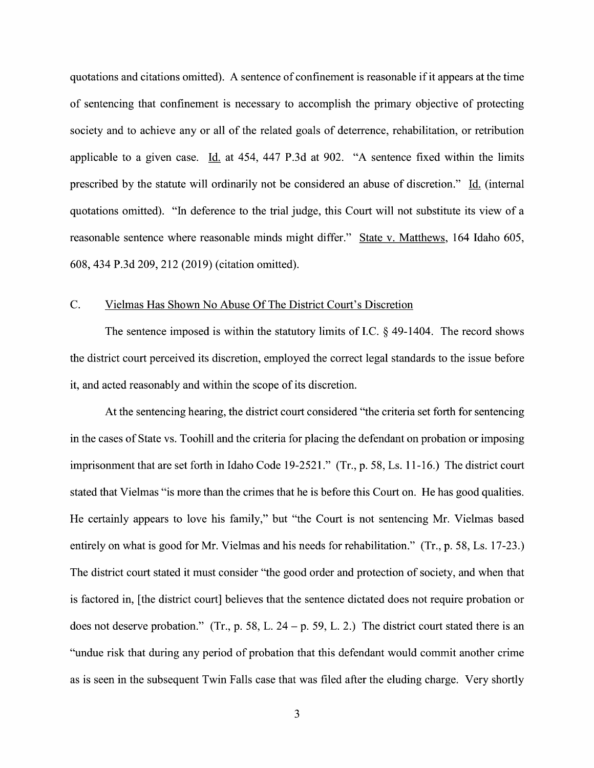quotations and citations omitted). A sentence of confinement is reasonable if it appears at the time 0f sentencing that confinement is necessary to accomplish the primary objective 0f protecting society and to achieve any or all of the related goals of deterrence, rehabilitation, or retribution applicable to a given case. Id. at  $454$ ,  $447$  P.3d at 902. "A sentence fixed within the limits prescribed by the statute will ordinarily not be considered an abuse 0f discretion." I\_d. (internal quotations omitted). "In deference to the trial judge, this Court will not substitute its view of a reasonable sentence where reasonable minds might differ." State v. Matthews, 164 Idaho 605, 608, 434 P.3d 209, 212 (2019) (citation omitted).

#### C. Vielmas Has Shown N0 Abuse Of The District Court's Discretion

The sentence imposed is within the statutory limits of I.C.  $\S$  49-1404. The record shows the district court perceived its discretion, employed the correct legal standards to the issue before it, and acted reasonably and Within the scope 0f its discretion.

At the sentencing hearing, the district court considered "the criteria set forth for sentencing in the cases of State vs. Toohill and the criteria for placing the defendant on probation or imposing imprisonment that are set forth in Idaho Code  $19-2521$ ." (Tr., p. 58, Ls. 11-16.) The district court stated that Vielmas "is more than the crimes that he is before this Court 0n. He has good qualities. He certainly appears to love his family," but "the Court is not sentencing Mr. Vielmas based entirely on what is good for Mr. Vielmas and his needs for rehabilitation." (Tr., p. 58, Ls. 17-23.) The district court stated it must consider "the good order and protection 0f society, and when that is factored in, [the district court] believes that the sentence dictated does not require probation or does not deserve probation." (Tr., p. 58, L. 24 – p. 59, L. 2.) The district court stated there is an "undue risk that during any period 0f probation that this defendant would commit another crime as is seen in the subsequent Twin Falls case that was filed after the eluding charge. Very shortly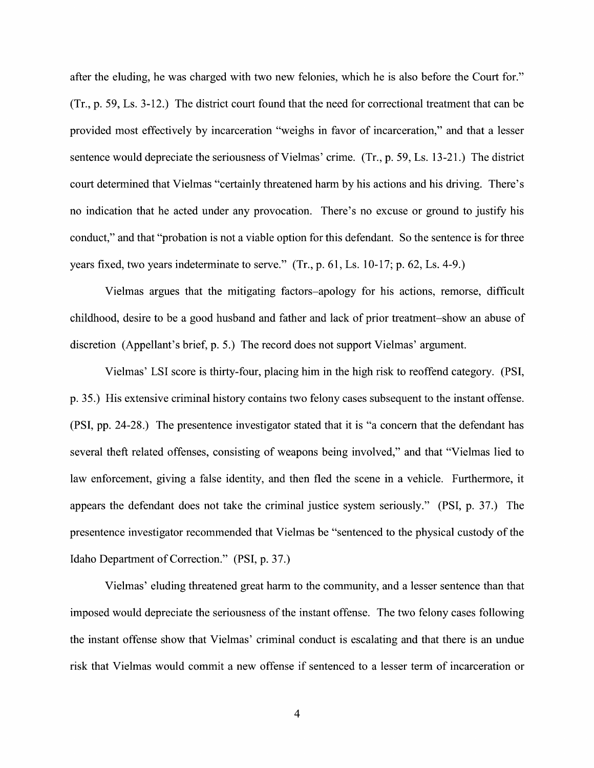after the eluding, he was charged with two new felonies, which he is also before the Court for."  $(Tr, p. 59, Ls. 3-12.)$  The district court found that the need for correctional treatment that can be provided most effectively by incarceration "weighs in favor of incarceration," and that a lesser sentence would depreciate the seriousness 0f Vielmas' crime. (Tr., p. 59, Ls. 13-21.) The district court determined that Vielmas "certainly threatened harm by his actions and his driving. There's no indication that he acted under any provocation. There's no excuse or ground to justify his conduct," and that "probation is not a viable option for this defendant. So the sentence is for three years fixed, two years indeterminate to serve."  $(Tr, p. 61, Ls. 10-17; p. 62, Ls. 4-9.)$ 

Vielmas argues that the mitigating factors—apology for his actions, remorse, difficult childhood, desire to be a good husband and father and lack of prior treatment—show an abuse of discretion (Appellant's brief, p. 5.) The record does not support Vielmas' argument.

Vielmas' LSI score is thirty-four, placing him in the high risk to reoffend category. (PSI, p. 35.) His extensive criminal history contains two felony cases subsequent to the instant offense. (PSI, pp. 24-28.) The presentence investigator stated that it is "a concern that the defendant has several theft related offenses, consisting of weapons being involved," and that "Vielmas lied to law enforcement, giving a false identity, and then fled the scene in a vehicle. Furthermore, it appears the defendant does not take the criminal justice system seriously." (PSI, p. 37.) The presentence investigator recommended that Vielmas be "sentenced t0 the physical custody 0f the Idaho Department 0f Correction." (PSI, p. 37.)

Vielmas' eluding threatened great harm to the community, and a lesser sentence than that imposed would depreciate the seriousness 0f the instant offense. The two felony cases following the instant offense show that Vielmas' criminal conduct is escalating and that there is an undue risk that Vielmas would commit a new offense if sentenced to a lesser term of incarceration or